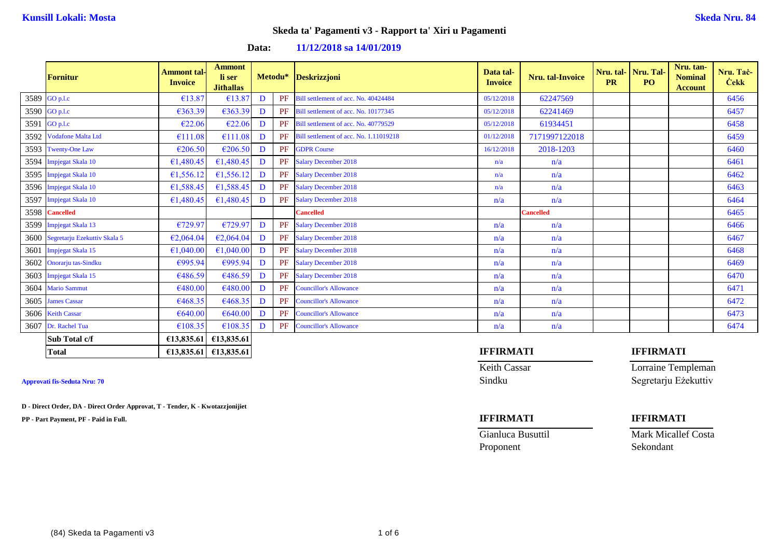**Data: 11/12/2018 sa 14/01/2019**

| <b>Fornitur</b>                   | <b>Ammont tal-</b><br><b>Invoice</b> | <b>Ammont</b><br>li ser<br><b>Jithallas</b> |   |    | Metodu* Deskrizzjoni                   | Data tal-<br><b>Invoice</b> | Nru. tal-Invoice | <b>PR</b> | Nru. tal- Nru. Tal-<br>PO <sub>1</sub> | Nru. tan-<br><b>Nominal</b><br><b>Account</b> | Nru. Tač-<br><b>Cekk</b> |
|-----------------------------------|--------------------------------------|---------------------------------------------|---|----|----------------------------------------|-----------------------------|------------------|-----------|----------------------------------------|-----------------------------------------------|--------------------------|
| 3589 GO p.l.c                     | €13.87                               | €13.87                                      | D | PF | Bill settlement of acc. No. 40424484   | 05/12/2018                  | 62247569         |           |                                        |                                               | 6456                     |
| 3590 GO p.l.c                     | €363.39                              | €363.39                                     | D | PF | Bill settlement of acc. No. 10177345   | 05/12/2018                  | 62241469         |           |                                        |                                               | 6457                     |
| 3591 GO p.l.c                     | €22.06                               | €22.06                                      | D | PF | Bill settlement of acc. No. 40779529   | 05/12/2018                  | 61934451         |           |                                        |                                               | 6458                     |
| 3592 Vodafone Malta Ltd           | €111.08                              | €111.08                                     | D | PF | Bill settlement of acc. No. 1.11019218 | 01/12/2018                  | 7171997122018    |           |                                        |                                               | 6459                     |
| 3593 Twenty-One Law               | €206.50                              | €206.50                                     | D | PF | <b>GDPR Course</b>                     | 16/12/2018                  | 2018-1203        |           |                                        |                                               | 6460                     |
| 3594 Impjegat Skala 10            | €1,480.45                            | €1,480.45                                   | D | PF | <b>Salary December 2018</b>            | n/a                         | n/a              |           |                                        |                                               | 6461                     |
| 3595 Impjegat Skala 10            | €1,556.12                            | €1,556.12                                   | D | PF | <b>Salary December 2018</b>            | n/a                         | n/a              |           |                                        |                                               | 6462                     |
| 3596 Impjegat Skala 10            | €1,588.45                            | €1,588.45                                   | D | PF | <b>Salary December 2018</b>            | n/a                         | n/a              |           |                                        |                                               | 6463                     |
| 3597 Impjegat Skala 10            | €1,480.45                            | €1,480.45                                   | D | PF | <b>Salary December 2018</b>            | n/a                         | n/a              |           |                                        |                                               | 6464                     |
| 3598 Cancelled                    |                                      |                                             |   |    | <b>Cancelled</b>                       |                             | <b>Cancelled</b> |           |                                        |                                               | 6465                     |
| 3599 Impjegat Skala 13            | €729.97                              | €729.97                                     | D | PF | <b>Salary December 2018</b>            | n/a                         | n/a              |           |                                        |                                               | 6466                     |
| 3600 Segretarju Ezekuttiv Skala 5 | €2,064.04                            | €2,064.04                                   | D | PF | <b>Salary December 2018</b>            | n/a                         | n/a              |           |                                        |                                               | 6467                     |
| 3601 Impjegat Skala 15            | €1,040.00                            | €1,040.00                                   | D | PF | <b>Salary December 2018</b>            | n/a                         | n/a              |           |                                        |                                               | 6468                     |
| 3602 Onorarju tas-Sindku          | €995.94                              | €995.94                                     | D | PF | <b>Salary December 2018</b>            | n/a                         | n/a              |           |                                        |                                               | 6469                     |
| 3603 Impjegat Skala 15            | €486.59                              | £486.59                                     | D | PF | <b>Salary December 2018</b>            | n/a                         | n/a              |           |                                        |                                               | 6470                     |
| 3604 Mario Sammut                 | €480.00                              | €480.00                                     | D | PF | <b>Councillor's Allowance</b>          | n/a                         | n/a              |           |                                        |                                               | 6471                     |
| 3605 James Cassar                 | €468.35                              | €468.35                                     | D | PF | <b>Councillor's Allowance</b>          | n/a                         | n/a              |           |                                        |                                               | 6472                     |
| 3606 Keith Cassar                 | €640.00                              | €640.00                                     | D | PF | <b>Councillor's Allowance</b>          | n/a                         | n/a              |           |                                        |                                               | 6473                     |
| 3607 Dr. Rachel Tua               | €108.35                              | €108.35                                     | D | PF | <b>Councillor's Allowance</b>          | n/a                         | n/a              |           |                                        |                                               | 6474                     |
| Sub Total c/f                     |                                      | $E13,835.61$ $E13,835.61$                   |   |    |                                        |                             |                  |           |                                        |                                               |                          |

**D - Direct Order, DA - Direct Order Approvat, T - Tender, K - Kwotazzjonijiet**

**PP - Part Payment, PF - Paid in Full. IFFIRMATI IFFIRMATI**

## **Total €13,835.61 €13,835.61 IFFIRMATI IFFIRMATI**

Keith Cassar Lorraine Templeman **Approvati fis-Seduta Nru: 70** Sindku Segretarju Eżekuttiv

Gianluca Busuttil Mark Micallef Costa Proponent Sekondant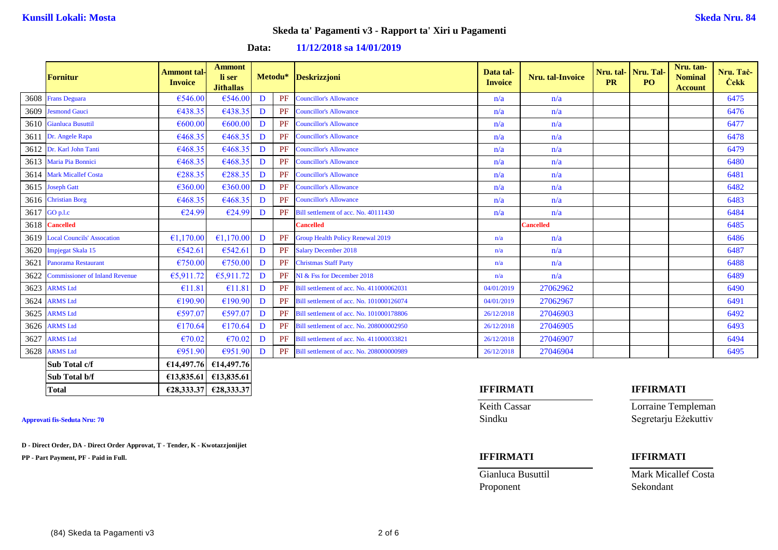### **Data: 11/12/2018 sa 14/01/2019**

|      | <b>Fornitur</b>                       | Ammont tal-<br><b>Invoice</b> | <b>Ammont</b><br>li ser<br><b>Jithallas</b> |   | Metodu* | Deskrizzjoni                             | Data tal-<br><b>Invoice</b> | Nru. tal-Invoice | Nru. tal- Nru. Tal-<br><b>PR</b> | PO <sub>1</sub> | Nru. tan-<br><b>Nominal</b><br><b>Account</b> | Nru. Tač-<br><b>Cekk</b> |
|------|---------------------------------------|-------------------------------|---------------------------------------------|---|---------|------------------------------------------|-----------------------------|------------------|----------------------------------|-----------------|-----------------------------------------------|--------------------------|
|      | 3608 Frans Deguara                    | €546.00                       | €546.00                                     | D | PF      | <b>Councillor's Allowance</b>            | n/a                         | n/a              |                                  |                 |                                               | 6475                     |
|      | 3609 Jesmond Gauci                    | €438.35                       | €438.35                                     | D | PF      | <b>Councillor's Allowance</b>            | n/a                         | n/a              |                                  |                 |                                               | 6476                     |
|      | 3610 Gianluca Busuttil                | €600.00                       | €600.00                                     | D | PF      | <b>Councillor's Allowance</b>            | n/a                         | n/a              |                                  |                 |                                               | 6477                     |
|      | 3611 Dr. Angele Rapa                  | €468.35                       | €468.35                                     | D | PF      | <b>Councillor's Allowance</b>            | n/a                         | n/a              |                                  |                 |                                               | 6478                     |
|      | 3612 Dr. Karl John Tanti              | €468.35                       | €468.35                                     | D | PF      | <b>Councillor's Allowance</b>            | n/a                         | n/a              |                                  |                 |                                               | 6479                     |
|      | 3613 Maria Pia Bonnici                | €468.35                       | €468.35                                     | D | PF      | <b>Councillor's Allowance</b>            | n/a                         | n/a              |                                  |                 |                                               | 6480                     |
|      | 3614 Mark Micallef Costa              | €288.35                       | €288.35                                     | D | PF      | <b>Councillor's Allowance</b>            | n/a                         | n/a              |                                  |                 |                                               | 6481                     |
|      | 3615 Joseph Gatt                      | €360.00                       | €360.00                                     | D | PF      | <b>Councillor's Allowance</b>            | n/a                         | n/a              |                                  |                 |                                               | 6482                     |
|      | 3616 Christian Borg                   | €468.35                       | €468.35                                     | D | PF      | <b>Councillor's Allowance</b>            | n/a                         | n/a              |                                  |                 |                                               | 6483                     |
|      | 3617 GO p.l.c                         | €24.99                        | €24.99                                      | D | PF      | Bill settlement of acc. No. 40111430     | n/a                         | n/a              |                                  |                 |                                               | 6484                     |
|      | 3618 Cancelled                        |                               |                                             |   |         | <b>Cancelled</b>                         |                             | <b>Cancelled</b> |                                  |                 |                                               | 6485                     |
|      | 3619 Local Councils' Assocation       | €1,170.00                     | €1,170.00                                   | D | PF      | <b>Group Health Policy Renewal 2019</b>  | n/a                         | n/a              |                                  |                 |                                               | 6486                     |
|      | 3620 Impjegat Skala 15                | €542.61                       | €542.61                                     | D | PF      | <b>Salary December 2018</b>              | n/a                         | n/a              |                                  |                 |                                               | 6487                     |
|      | 3621 Panorama Restaurant              | €750.00                       | €750.00                                     | D | PF      | <b>Christmas Staff Party</b>             | n/a                         | n/a              |                                  |                 |                                               | 6488                     |
| 3622 | <b>Commissioner of Inland Revenue</b> | €5,911.72                     | €5,911.72                                   | D | PF      | NI & Fss for December 2018               | n/a                         | n/a              |                                  |                 |                                               | 6489                     |
|      | 3623 ARMS Ltd                         | €11.81                        | €11.81                                      | D | PF      | Bill settlement of acc. No. 411000062031 | 04/01/2019                  | 27062962         |                                  |                 |                                               | 6490                     |
|      | 3624 ARMS Ltd                         | €190.90                       | €190.90                                     | D | PF      | Bill settlement of acc. No. 101000126074 | 04/01/2019                  | 27062967         |                                  |                 |                                               | 6491                     |
|      | 3625 ARMS Ltd                         | €597.07                       | €597.07                                     | D | PF      | Bill settlement of acc. No. 101000178806 | 26/12/2018                  | 27046903         |                                  |                 |                                               | 6492                     |
|      | 3626 ARMS Ltd                         | €170.64                       | €170.64                                     | D | PF      | Bill settlement of acc. No. 208000002950 | 26/12/2018                  | 27046905         |                                  |                 |                                               | 6493                     |
|      | 3627 ARMS Ltd                         | €70.02                        | €70.02                                      | D | PF      | Bill settlement of acc. No. 411000033821 | 26/12/2018                  | 27046907         |                                  |                 |                                               | 6494                     |
|      | 3628 ARMS Ltd                         | €951.90                       | €951.90                                     | D | PF      | Bill settlement of acc. No. 208000000989 | 26/12/2018                  | 27046904         |                                  |                 |                                               | 6495                     |
|      | Sub Total c/f                         |                               | €14,497.76 €14,497.76                       |   |         |                                          |                             |                  |                                  |                 |                                               |                          |
|      | Sub Total b/f                         |                               | $\epsilon$ 13,835.61 $\epsilon$ 13,835.61   |   |         |                                          |                             |                  |                                  |                 |                                               |                          |

**D - Direct Order, DA - Direct Order Approvat, T - Tender, K - Kwotazzjonijiet**

**PP - Part Payment, PF - Paid in Full. IFFIRMATI IFFIRMATI**

### **Total €28,333.37 €28,333.37 IFFIRMATI IFFIRMATI**

Proponent Sekondant

Keith Cassar **Lorraine Templeman Approvati fis-Seduta Nru: 70** Sindku Segretarju Eżekuttiv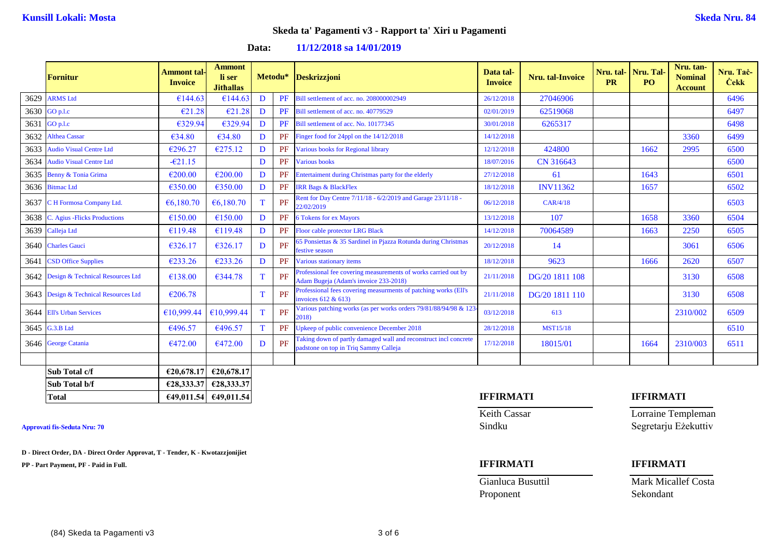**Data: 11/12/2018 sa 14/01/2019**

|      | <b>Fornitur</b>                       | <b>Ammont tal-</b><br><b>Invoice</b> | <b>Ammont</b><br>li ser<br><b>Jithallas</b> |   | Metodu* | <b>Deskrizzjoni</b>                                                                                       | Data tal-<br><b>Invoice</b> | Nru. tal-Invoice | <b>PR</b> | Nru. tal- Nru. Tal<br>PO. | Nru. tan-<br><b>Nominal</b><br><b>Account</b> | Nru. Tač-<br><b>Cekk</b> |
|------|---------------------------------------|--------------------------------------|---------------------------------------------|---|---------|-----------------------------------------------------------------------------------------------------------|-----------------------------|------------------|-----------|---------------------------|-----------------------------------------------|--------------------------|
| 3629 | <b>ARMS</b> Ltd                       | €144.63                              | €144.63                                     | D | PF      | Bill settlement of acc. no. 208000002949                                                                  | 26/12/2018                  | 27046906         |           |                           |                                               | 6496                     |
|      | 3630 GO p.l.c                         | €21.28                               | €21.28                                      | D | PF      | Bill settlement of acc. no. 40779529                                                                      | 02/01/2019                  | 62519068         |           |                           |                                               | 6497                     |
| 3631 | GO p.l.c                              | €329.94                              | €329.94                                     | D | PF      | Bill settlement of acc. No. 10177345                                                                      | 30/01/2018                  | 6265317          |           |                           |                                               | 6498                     |
| 3632 | <b>Althea Cassar</b>                  | €34.80                               | €34.80                                      | D | PF      | Finger food for 24ppl on the 14/12/2018                                                                   | 14/12/2018                  |                  |           |                           | 3360                                          | 6499                     |
| 3633 | <b>Audio Visual Centre Ltd</b>        | €296.27                              | €275.12                                     | D | PF      | Various books for Regional library                                                                        | 12/12/2018                  | 424800           |           | 1662                      | 2995                                          | 6500                     |
| 3634 | <b>Audio Visual Centre Ltd</b>        | $-621.15$                            |                                             | D | PF      | <b>Various books</b>                                                                                      | 18/07/2016                  | CN 316643        |           |                           |                                               | 6500                     |
|      | 3635 Benny & Tonia Grima              | €200.00                              | €200.00                                     | D | PF      | Entertaiment during Christmas party for the elderly                                                       | 27/12/2018                  | 61               |           | 1643                      |                                               | 6501                     |
|      | 3636 Bitmac Ltd                       | €350.00                              | €350.00                                     | D | PF      | <b>IRR Bags &amp; BlackFlex</b>                                                                           | 18/12/2018                  | <b>INV11362</b>  |           | 1657                      |                                               | 6502                     |
|      | 3637 C H Formosa Company Ltd.         | €6,180.70                            | €6,180.70                                   | T | PF      | Rent for Day Centre 7/11/18 - 6/2/2019 and Garage 23/11/18 -<br>22/02/2019                                | 06/12/2018                  | CAR/4/18         |           |                           |                                               | 6503                     |
| 3638 | C. Agius - Flicks Productions         | €150.00                              | €150.00                                     | D | PF      | <b>6 Tokens for ex Mayors</b>                                                                             | 13/12/2018                  | 107              |           | 1658                      | 3360                                          | 6504                     |
|      | 3639 Calleja Ltd                      | €119.48                              | €119.48                                     | D | PF      | Floor cable protector LRG Black                                                                           | 14/12/2018                  | 70064589         |           | 1663                      | 2250                                          | 6505                     |
|      | 3640 Charles Gauci                    | €326.17                              | €326.17                                     | D | PF      | 65 Ponsiettas & 35 Sardinel in Pjazza Rotunda during Christmas<br>festive season                          | 20/12/2018                  | 14               |           |                           | 3061                                          | 6506                     |
| 3641 | <b>CSD Office Supplies</b>            | €233.26                              | €233.26                                     | D | PF      | Various stationary items                                                                                  | 18/12/2018                  | 9623             |           | 1666                      | 2620                                          | 6507                     |
|      | 3642 Design & Technical Resources Ltd | €138.00                              | €344.78                                     | T | PF      | Professional fee covering measurements of works carried out by<br>Adam Bugeja (Adam's invoice 233-2018)   | 21/11/2018                  | DG/20 1811 108   |           |                           | 3130                                          | 6508                     |
|      | 3643 Design & Technical Resources Ltd | €206.78                              |                                             |   | PF      | Professional fees covering measurments of patching works (Ell's<br>invoices $612 \& 613$                  | 21/11/2018                  | DG/20 1811 110   |           |                           | 3130                                          | 6508                     |
|      | 3644 Ell's Urban Services             | €10,999.44                           | €10,999.44                                  | T | PF      | Various patching works (as per works orders 79/81/88/94/98 & 123<br>2018)                                 | 03/12/2018                  | 613              |           |                           | 2310/002                                      | 6509                     |
|      | 3645 G.3.B Ltd                        | €496.57                              | €496.57                                     | T | PF      | Jpkeep of public convenience December 2018                                                                | 28/12/2018                  | <b>MST15/18</b>  |           |                           |                                               | 6510                     |
|      | 3646 George Catania                   | €472.00                              | €472.00                                     | D | PF      | Taking down of partly damaged wall and reconstruct incl concrete<br>padstone on top in Triq Sammy Calleja | 17/12/2018                  | 18015/01         |           | 1664                      | 2310/003                                      | 6511                     |
|      |                                       |                                      |                                             |   |         |                                                                                                           |                             |                  |           |                           |                                               |                          |
|      | Sub Total c/f                         | €20,678.17                           | €20,678.17                                  |   |         |                                                                                                           |                             |                  |           |                           |                                               |                          |
|      | Sub Total b/f                         | €28,333.37                           | €28,333.37                                  |   |         |                                                                                                           |                             |                  |           |                           |                                               |                          |
|      | <b>Total</b>                          |                                      | $E49,011.54$ $E49,011.54$                   |   |         |                                                                                                           | <b>IFFIRMATI</b>            |                  |           | <b>IFFIRMATI</b>          |                                               |                          |

**D - Direct Order, DA - Direct Order Approvat, T - Tender, K - Kwotazzjonijiet**

**PP - Part Payment, PF - Paid in Full. IFFIRMATI IFFIRMATI**

Proponent Sekondant

Keith Cassar **Lorraine Templeman Approvati fis-Seduta Nru: 70** Sindku Segretarju Eżekuttiv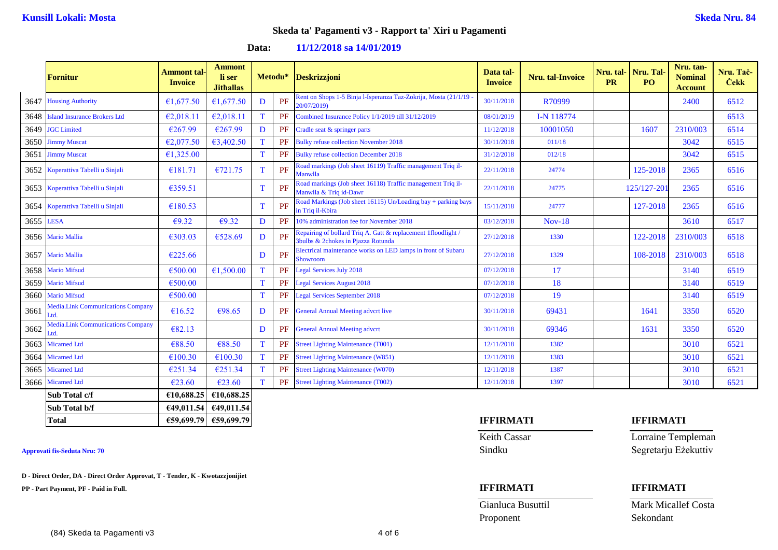**Data: 11/12/2018 sa 14/01/2019**

|           | Fornitur                                         | <b>Ammont</b> tal-<br><b>Invoice</b> | <b>Ammont</b><br>li ser<br><b>Jithallas</b> |             |    | Metodu* Deskrizzjoni                                                                                | Data tal-<br><b>Invoice</b> | Nru. tal-Invoice | Nru. tal-<br><b>PR</b> | <b>Nru. Tal</b><br>PO. | Nru. tan-<br><b>Nominal</b><br><b>Account</b> | Nru. Tač-<br><b>Cekk</b> |
|-----------|--------------------------------------------------|--------------------------------------|---------------------------------------------|-------------|----|-----------------------------------------------------------------------------------------------------|-----------------------------|------------------|------------------------|------------------------|-----------------------------------------------|--------------------------|
| 3647      | <b>Housing Authority</b>                         | €1,677.50                            | €1,677.50                                   | D           | PF | Rent on Shops 1-5 Binja l-Isperanza Taz-Zokrija, Mosta (21/1/19<br>20/07/2019)                      | 30/11/2018                  | R70999           |                        |                        | 2400                                          | 6512                     |
| 3648      | <b>Island Insurance Brokers Ltd</b>              | €2,018.11                            | €2,018.11                                   | $\mathbf T$ | PF | Combined Insurance Policy 1/1/2019 till 31/12/2019                                                  | 08/01/2019                  | I-N 118774       |                        |                        |                                               | 6513                     |
| 3649      | <b>JGC</b> Limited                               | €267.99                              | €267.99                                     | D           | PF | Cradle seat & springer parts                                                                        | 11/12/2018                  | 10001050         |                        | 1607                   | 2310/003                                      | 6514                     |
|           | 3650 Jimmy Muscat                                | €2,077.50                            | €3,402.50                                   | T           | PF | <b>Bulky refuse collection November 2018</b>                                                        | 30/11/2018                  | 011/18           |                        |                        | 3042                                          | 6515                     |
|           | 3651 Jimmy Muscat                                | €1,325.00                            |                                             | T           | PF | <b>Bulky refuse collection December 2018</b>                                                        | 31/12/2018                  | 012/18           |                        |                        | 3042                                          | 6515                     |
|           | 3652 Koperattiva Tabelli u Sinjali               | €181.71                              | €721.75                                     | T           | PF | Road markings (Job sheet 16119) Traffic management Triq il-<br>Manwlla                              | 22/11/2018                  | 24774            |                        | 125-2018               | 2365                                          | 6516                     |
|           | 3653 Koperattiva Tabelli u Sinjali               | €359.51                              |                                             | T           | PF | Road markings (Job sheet 16118) Traffic management Triq il-<br>Manwlla & Triq id-Dawr               | 22/11/2018                  | 24775            |                        | 125/127-201            | 2365                                          | 6516                     |
|           | 3654 Koperattiva Tabelli u Sinjali               | €180.53                              |                                             | T           | PF | Road Markings (Job sheet 16115) Un/Loading bay + parking bays<br>in Triq il-Kbira                   | 15/11/2018                  | 24777            |                        | 127-2018               | 2365                                          | 6516                     |
| 3655 LESA |                                                  | $\epsilon$ 9.32                      | €9.32                                       | D           | PF | 10% administration fee for November 2018                                                            | 03/12/2018                  | $Nov-18$         |                        |                        | 3610                                          | 6517                     |
|           | 3656 Mario Mallia                                | €303.03                              | €528.69                                     | D           | PF | Repairing of bollard Triq A. Gatt & replacement 1floodlight /<br>3bulbs & 2chokes in Pjazza Rotunda | 27/12/2018                  | 1330             |                        | 122-2018               | 2310/003                                      | 6518                     |
|           | 3657 Mario Mallia                                | €225.66                              |                                             | D           | PF | Electrical maintenance works on LED lamps in front of Subaru<br>Showroom                            | 27/12/2018                  | 1329             |                        | 108-2018               | 2310/003                                      | 6518                     |
| 3658      | <b>Mario Mifsud</b>                              | €500.00                              | €1,500.00                                   | T           | PF | <b>Legal Services July 2018</b>                                                                     | 07/12/2018                  | 17               |                        |                        | 3140                                          | 6519                     |
| 3659      | <b>Mario Mifsud</b>                              | €500.00                              |                                             | T           | PF | <b>Legal Services August 2018</b>                                                                   | 07/12/2018                  | 18               |                        |                        | 3140                                          | 6519                     |
|           | 3660 Mario Mifsud                                | €500.00                              |                                             | T           | PF | Legal Services September 2018                                                                       | 07/12/2018                  | 19               |                        |                        | 3140                                          | 6519                     |
| 3661      | <b>Media.Link Communications Company</b><br>td.  | €16.52                               | €98.65                                      | D           | PF | <b>General Annual Meeting advcrt live</b>                                                           | 30/11/2018                  | 69431            |                        | 1641                   | 3350                                          | 6520                     |
| 3662      | <b>Media.Link Communications Company</b><br>`td. | €82.13                               |                                             | D           | PF | <b>General Annual Meeting advcrt</b>                                                                | 30/11/2018                  | 69346            |                        | 1631                   | 3350                                          | 6520                     |
| 3663      | <b>Micamed Ltd</b>                               | €88.50                               | €88.50                                      | T           | PF | <b>Street Lighting Maintenance (T001)</b>                                                           | 12/11/2018                  | 1382             |                        |                        | 3010                                          | 6521                     |
| 3664      | <b>Micamed Ltd</b>                               | €100.30                              | €100.30                                     | T           | PF | <b>Street Lighting Maintenance (W851)</b>                                                           | 12/11/2018                  | 1383             |                        |                        | 3010                                          | 6521                     |
| 3665      | <b>Micamed Ltd</b>                               | €251.34                              | €251.34                                     | T           | PF | <b>Street Lighting Maintenance (W070)</b>                                                           | 12/11/2018                  | 1387             |                        |                        | 3010                                          | 6521                     |
| 3666      | <b>Micamed Ltd</b>                               | €23.60                               | €23.60                                      | T           | PF | <b>Street Lighting Maintenance (T002)</b>                                                           | 12/11/2018                  | 1397             |                        |                        | 3010                                          | 6521                     |
|           | Sub Total c/f                                    | €10,688.25                           | €10.688.25                                  |             |    |                                                                                                     |                             |                  |                        |                        |                                               |                          |
|           | Sub Total b/f                                    |                                      | €49,011.54 €49,011.54                       |             |    |                                                                                                     |                             |                  |                        |                        |                                               |                          |

**D - Direct Order, DA - Direct Order Approvat, T - Tender, K - Kwotazzjonijiet**

**PP - Part Payment, PF - Paid in Full. IFFIRMATI IFFIRMATI**

## **Total €59,699.79 €59,699.79 IFFIRMATI IFFIRMATI**

Proponent Sekondant

Keith Cassar **Lorraine Templeman Approvati fis-Seduta Nru: 70** Sindku Segretarju Eżekuttiv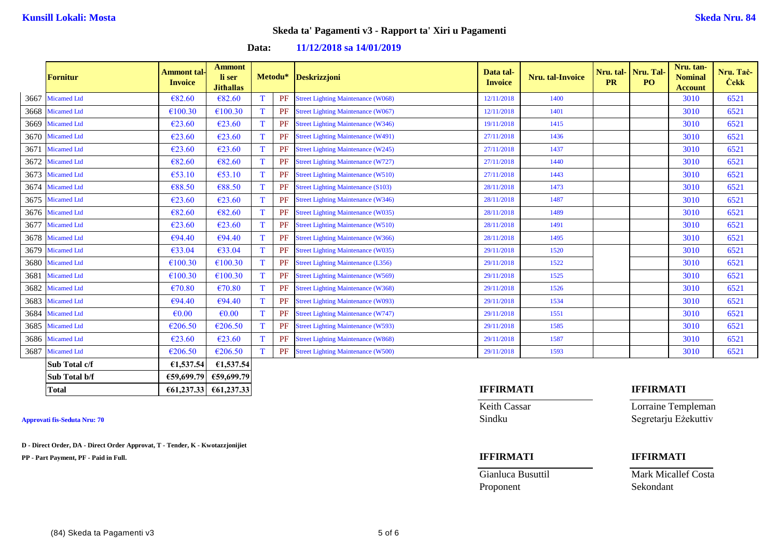### **Data: 11/12/2018 sa 14/01/2019**

|      | <b>Fornitur</b>    | <b>Ammont tal-</b><br><b>Invoice</b> | <b>Ammont</b><br>li ser<br><b>Jithallas</b> |             |    | Metodu* Deskrizzjoni                      | Data tal-<br><b>Invoice</b> | <b>Nru.</b> tal-Invoice | Nru. tal-<br><b>PR</b> | Nru. Tal-<br>P <sub>O</sub> | Nru. tan-<br><b>Nominal</b><br><b>Account</b> | Nru. Tač-<br><b>Cekk</b> |
|------|--------------------|--------------------------------------|---------------------------------------------|-------------|----|-------------------------------------------|-----------------------------|-------------------------|------------------------|-----------------------------|-----------------------------------------------|--------------------------|
|      | 3667 Micamed Ltd   | €82.60                               | €82.60                                      | T           | PF | <b>Street Lighting Maintenance (W068)</b> | 12/11/2018                  | 1400                    |                        |                             | 3010                                          | 6521                     |
|      | 3668 Micamed Ltd   | €100.30                              | €100.30                                     | T           | PF | <b>Street Lighting Maintenance (W067)</b> | 12/11/2018                  | 1401                    |                        |                             | 3010                                          | 6521                     |
|      | 3669 Micamed Ltd   | €23.60                               | €23.60                                      | T           | PF | <b>Street Lighting Maintenance (W346)</b> | 19/11/2018                  | 1415                    |                        |                             | 3010                                          | 6521                     |
|      | 3670 Micamed Ltd   | €23.60                               | €23.60                                      | T           | PF | <b>Street Lighting Maintenance (W491)</b> | 27/11/2018                  | 1436                    |                        |                             | 3010                                          | 6521                     |
| 3671 | <b>Micamed Ltd</b> | €23.60                               | €23.60                                      | T           | PF | <b>Street Lighting Maintenance (W245)</b> | 27/11/2018                  | 1437                    |                        |                             | 3010                                          | 6521                     |
| 3672 | <b>Micamed Ltd</b> | € $82.60$                            | €82.60                                      | $\mathbf T$ | PF | <b>Street Lighting Maintenance (W727)</b> | 27/11/2018                  | 1440                    |                        |                             | 3010                                          | 6521                     |
| 3673 | <b>Micamed Ltd</b> | €53.10                               | €53.10                                      | $\mathbf T$ | PF | <b>Street Lighting Maintenance (W510)</b> | 27/11/2018                  | 1443                    |                        |                             | 3010                                          | 6521                     |
|      | 3674 Micamed Ltd   | €88.50                               | €88.50                                      | T           | PF | <b>Street Lighting Maintenance (S103)</b> | 28/11/2018                  | 1473                    |                        |                             | 3010                                          | 6521                     |
|      | 3675 Micamed Ltd   | €23.60                               | €23.60                                      | T           | PF | <b>Street Lighting Maintenance (W346)</b> | 28/11/2018                  | 1487                    |                        |                             | 3010                                          | 6521                     |
|      | 3676 Micamed Ltd   | € $82.60$                            | €82.60                                      | T           | PF | <b>Street Lighting Maintenance (W035)</b> | 28/11/2018                  | 1489                    |                        |                             | 3010                                          | 6521                     |
| 3677 | <b>Micamed Ltd</b> | €23.60                               | €23.60                                      | T           | PF | <b>Street Lighting Maintenance (W510)</b> | 28/11/2018                  | 1491                    |                        |                             | 3010                                          | 6521                     |
|      | 3678 Micamed Ltd   | €94.40                               | €94.40                                      | T           | PF | <b>Street Lighting Maintenance (W366)</b> | 28/11/2018                  | 1495                    |                        |                             | 3010                                          | 6521                     |
| 3679 | <b>Micamed Ltd</b> | €33.04                               | €33.04                                      | T           | PF | <b>Street Lighting Maintenance (W035)</b> | 29/11/2018                  | 1520                    |                        |                             | 3010                                          | 6521                     |
|      | 3680 Micamed Ltd   | €100.30                              | €100.30                                     | $\mathbf T$ | PF | <b>Street Lighting Maintenance (L356)</b> | 29/11/2018                  | 1522                    |                        |                             | 3010                                          | 6521                     |
| 3681 | <b>Micamed Ltd</b> | €100.30                              | €100.30                                     | $\mathbf T$ | PF | <b>Street Lighting Maintenance (W569)</b> | 29/11/2018                  | 1525                    |                        |                             | 3010                                          | 6521                     |
| 3682 | <b>Micamed Ltd</b> | €70.80                               | €70.80                                      | T           | PF | <b>Street Lighting Maintenance (W368)</b> | 29/11/2018                  | 1526                    |                        |                             | 3010                                          | 6521                     |
|      | 3683 Micamed Ltd   | €94.40                               | €94.40                                      | $\mathbf T$ | PF | <b>Street Lighting Maintenance (W093)</b> | 29/11/2018                  | 1534                    |                        |                             | 3010                                          | 6521                     |
|      | 3684 Micamed Ltd   | $\epsilon$ <sub>0.00</sub>           | $\epsilon$ <sub>0.00</sub>                  | T           | PF | <b>Street Lighting Maintenance (W747)</b> | 29/11/2018                  | 1551                    |                        |                             | 3010                                          | 6521                     |
|      | 3685 Micamed Ltd   | €206.50                              | €206.50                                     | T           | PF | <b>Street Lighting Maintenance (W593)</b> | 29/11/2018                  | 1585                    |                        |                             | 3010                                          | 6521                     |
|      | 3686 Micamed Ltd   | $\epsilon$ 23.60                     | €23.60                                      | T           | PF | <b>Street Lighting Maintenance (W868)</b> | 29/11/2018                  | 1587                    |                        |                             | 3010                                          | 6521                     |
| 3687 | <b>Micamed Ltd</b> | €206.50                              | €206.50                                     | T           | PF | <b>Street Lighting Maintenance (W500)</b> | 29/11/2018                  | 1593                    |                        |                             | 3010                                          | 6521                     |
|      | Sub Total c/f      | €1,537.54                            | €1,537.54                                   |             |    |                                           |                             |                         |                        |                             |                                               |                          |
|      | Sub Total b/f      | €59,699.79                           | €59,699.79                                  |             |    |                                           |                             |                         |                        |                             |                                               |                          |

**D - Direct Order, DA - Direct Order Approvat, T - Tender, K - Kwotazzjonijiet**

**PP - Part Payment, PF - Paid in Full. IFFIRMATI IFFIRMATI**

# **Total €61,237.33 €61,237.33 IFFIRMATI IFFIRMATI**

Proponent Sekondant

Keith Cassar **Lorraine Templeman Approvati fis-Seduta Nru: 70** Sindku Segretarju Eżekuttiv